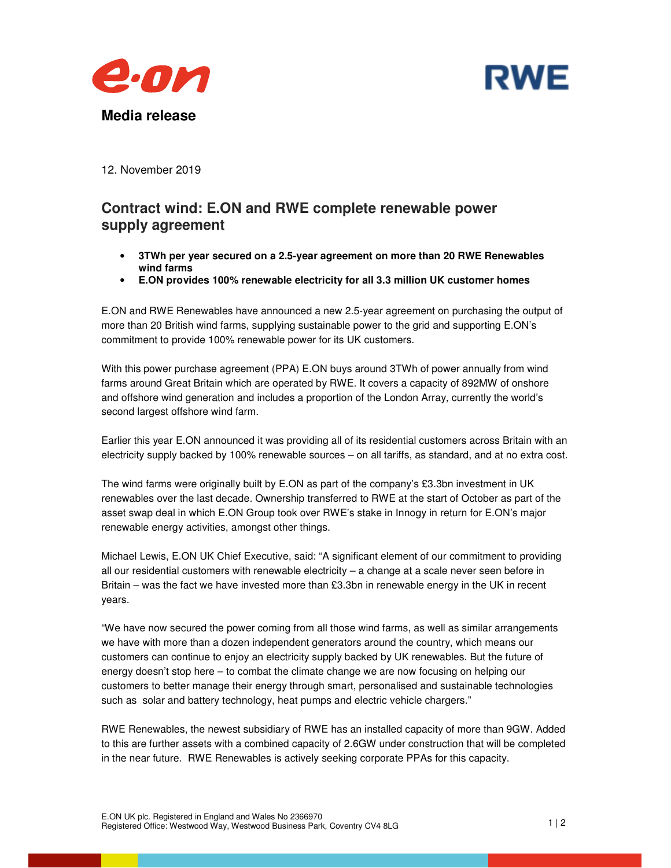



12. November 2019

## **Contract wind: E.ON and RWE complete renewable power supply agreement**

- **3TWh per year secured on a 2.5-year agreement on more than 20 RWE Renewables wind farms**
- **E.ON provides 100% renewable electricity for all 3.3 million UK customer homes**

E.ON and RWE Renewables have announced a new 2.5-year agreement on purchasing the output of more than 20 British wind farms, supplying sustainable power to the grid and supporting E.ON's commitment to provide 100% renewable power for its UK customers.

With this power purchase agreement (PPA) E.ON buys around 3TWh of power annually from wind farms around Great Britain which are operated by RWE. It covers a capacity of 892MW of onshore and offshore wind generation and includes a proportion of the London Array, currently the world's second largest offshore wind farm.

Earlier this year E.ON announced it was providing all of its residential customers across Britain with an electricity supply backed by 100% renewable sources – on all tariffs, as standard, and at no extra cost.

The wind farms were originally built by E.ON as part of the company's £3.3bn investment in UK renewables over the last decade. Ownership transferred to RWE at the start of October as part of the asset swap deal in which E.ON Group took over RWE's stake in Innogy in return for E.ON's major renewable energy activities, amongst other things.

Michael Lewis, E.ON UK Chief Executive, said: "A significant element of our commitment to providing all our residential customers with renewable electricity – a change at a scale never seen before in Britain – was the fact we have invested more than £3.3bn in renewable energy in the UK in recent years.

"We have now secured the power coming from all those wind farms, as well as similar arrangements we have with more than a dozen independent generators around the country, which means our customers can continue to enjoy an electricity supply backed by UK renewables. But the future of energy doesn't stop here – to combat the climate change we are now focusing on helping our customers to better manage their energy through smart, personalised and sustainable technologies such as solar and battery technology, heat pumps and electric vehicle chargers."

RWE Renewables, the newest subsidiary of RWE has an installed capacity of more than 9GW. Added to this are further assets with a combined capacity of 2.6GW under construction that will be completed in the near future. RWE Renewables is actively seeking corporate PPAs for this capacity.